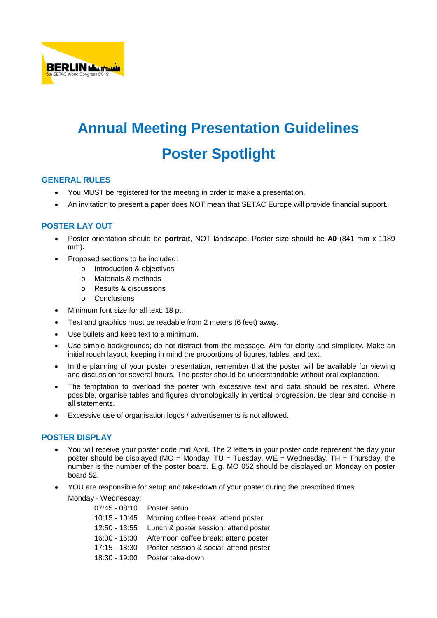

# **Annual Meeting Presentation Guidelines Poster Spotlight**

## **GENERAL RULES**

- You MUST be registered for the meeting in order to make a presentation.
- An invitation to present a paper does NOT mean that SETAC Europe will provide financial support.

## **POSTER LAY OUT**

- Poster orientation should be **portrait**, NOT landscape. Poster size should be **A0** (841 mm x 1189 mm).
- Proposed sections to be included:
	- o Introduction & objectives
	- o Materials & methods
	- o Results & discussions
	- o Conclusions
- Minimum font size for all text: 18 pt.
- Text and graphics must be readable from 2 meters (6 feet) away.
- Use bullets and keep text to a minimum.
- Use simple backgrounds; do not distract from the message. Aim for clarity and simplicity. Make an initial rough layout, keeping in mind the proportions of figures, tables, and text.
- In the planning of your poster presentation, remember that the poster will be available for viewing and discussion for several hours. The poster should be understandable without oral explanation.
- The temptation to overload the poster with excessive text and data should be resisted. Where possible, organise tables and figures chronologically in vertical progression. Be clear and concise in all statements.
- Excessive use of organisation logos / advertisements is not allowed.

#### **POSTER DISPLAY**

- You will receive your poster code mid April. The 2 letters in your poster code represent the day your poster should be displayed (MO = Monday,  $TU = Tuesday$ ,  $WE = Wednesday$ ,  $TH = Thursday$ , the number is the number of the poster board. E.g. MO 052 should be displayed on Monday on poster board 52.
- YOU are responsible for setup and take-down of your poster during the prescribed times.

Monday - Wednesday:

| $07:45 - 08:10$ | Poster setup                           |
|-----------------|----------------------------------------|
| 10:15 - 10:45   | Morning coffee break: attend poster    |
| 12:50 - 13:55   | Lunch & poster session: attend poster  |
| $16:00 - 16:30$ | Afternoon coffee break: attend poster  |
| $17:15 - 18:30$ | Poster session & social: attend poster |
| 18:30 - 19:00   | Poster take-down                       |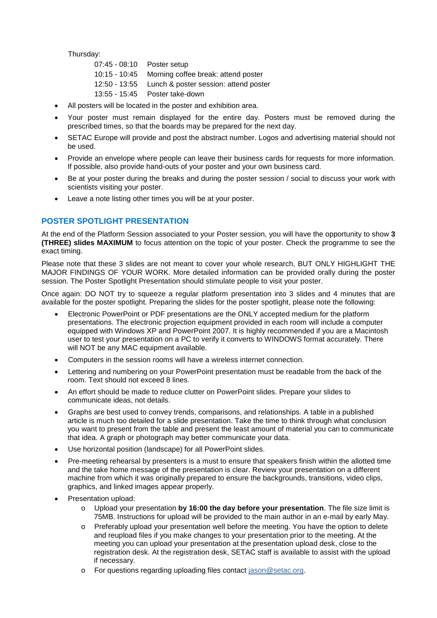Thursday:

| 07:45 - 08:10 Poster setup |                                                     |
|----------------------------|-----------------------------------------------------|
|                            | 10:15 - 10:45 Morning coffee break: attend poster   |
|                            | 12:50 - 13:55 Lunch & poster session: attend poster |
|                            | 13:55 - 15:45 Poster take-down                      |

- All posters will be located in the poster and exhibition area.
- Your poster must remain displayed for the entire day. Posters must be removed during the prescribed times, so that the boards may be prepared for the next day.
- SETAC Europe will provide and post the abstract number. Logos and advertising material should not be used.
- Provide an envelope where people can leave their business cards for requests for more information. If possible, also provide hand-outs of your poster and your own business card.
- Be at your poster during the breaks and during the poster session / social to discuss your work with scientists visiting your poster.
- Leave a note listing other times you will be at your poster.

## **POSTER SPOTLIGHT PRESENTATION**

At the end of the Platform Session associated to your Poster session, you will have the opportunity to show **3 (THREE) slides MAXIMUM** to focus attention on the topic of your poster. Check the programme to see the exact timing.

Please note that these 3 slides are not meant to cover your whole research, BUT ONLY HIGHLIGHT THE MAJOR FINDINGS OF YOUR WORK. More detailed information can be provided orally during the poster session. The Poster Spotlight Presentation should stimulate people to visit your poster.

Once again: DO NOT try to squeeze a regular platform presentation into 3 slides and 4 minutes that are available for the poster spotlight. Preparing the slides for the poster spotlight, please note the following:

- Electronic PowerPoint or PDF presentations are the ONLY accepted medium for the platform presentations. The electronic projection equipment provided in each room will include a computer equipped with Windows XP and PowerPoint 2007. It is highly recommended if you are a Macintosh user to test your presentation on a PC to verify it converts to WINDOWS format accurately. There will NOT be any MAC equipment available.
- Computers in the session rooms will have a wireless internet connection.
- Lettering and numbering on your PowerPoint presentation must be readable from the back of the room. Text should not exceed 8 lines.
- An effort should be made to reduce clutter on PowerPoint slides. Prepare your slides to communicate ideas, not details.
- Graphs are best used to convey trends, comparisons, and relationships. A table in a published article is much too detailed for a slide presentation. Take the time to think through what conclusion you want to present from the table and present the least amount of material you can to communicate that idea. A graph or photograph may better communicate your data.
- Use horizontal position (landscape) for all PowerPoint slides.
- Pre-meeting rehearsal by presenters is a must to ensure that speakers finish within the allotted time and the take home message of the presentation is clear. Review your presentation on a different machine from which it was originally prepared to ensure the backgrounds, transitions, video clips, graphics, and linked images appear properly.
- Presentation upload:
	- o Upload your presentation **by 16:00 the day before your presentation**. The file size limit is 75MB. Instructions for upload will be provided to the main author in an e-mail by early May.
	- o Preferably upload your presentation well before the meeting. You have the option to delete and reupload files if you make changes to your presentation prior to the meeting. At the meeting you can upload your presentation at the presentation upload desk, close to the registration desk. At the registration desk, SETAC staff is available to assist with the upload if necessary.
	- For questions regarding uploading files contact [jason@setac.org.](mailto:jason@setac.org)